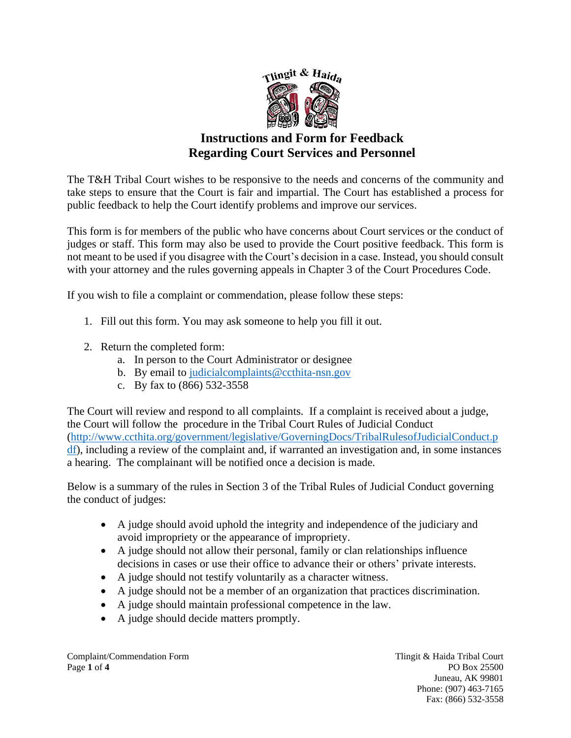

## **Instructions and Form for Feedback Regarding Court Services and Personnel**

The T&H Tribal Court wishes to be responsive to the needs and concerns of the community and take steps to ensure that the Court is fair and impartial. The Court has established a process for public feedback to help the Court identify problems and improve our services.

This form is for members of the public who have concerns about Court services or the conduct of judges or staff. This form may also be used to provide the Court positive feedback. This form is not meant to be used if you disagree with the Court's decision in a case. Instead, you should consult with your attorney and the rules governing appeals in Chapter 3 of the Court Procedures Code.

If you wish to file a complaint or commendation, please follow these steps:

- 1. Fill out this form. You may ask someone to help you fill it out.
- 2. Return the completed form:
	- a. In person to the Court Administrator or designee
	- b. By email to [judicialcomplaints@ccthita-nsn.gov](mailto:judicialcomplaints@ccthita-nsn.gov)
	- c. By fax to (866) 532-3558

The Court will review and respond to all complaints. If a complaint is received about a judge, the Court will follow the procedure in the Tribal Court Rules of Judicial Conduct [\(http://www.ccthita.org/government/legislative/GoverningDocs/TribalRulesofJudicialConduct.p](http://www.ccthita.org/government/legislative/GoverningDocs/TribalRulesofJudicialConduct.pdf) [df\)](http://www.ccthita.org/government/legislative/GoverningDocs/TribalRulesofJudicialConduct.pdf), including a review of the complaint and, if warranted an investigation and, in some instances a hearing. The complainant will be notified once a decision is made.

Below is a summary of the rules in Section 3 of the Tribal Rules of Judicial Conduct governing the conduct of judges:

- A judge should avoid uphold the integrity and independence of the judiciary and avoid impropriety or the appearance of impropriety.
- A judge should not allow their personal, family or clan relationships influence decisions in cases or use their office to advance their or others' private interests.
- A judge should not testify voluntarily as a character witness.
- A judge should not be a member of an organization that practices discrimination.
- A judge should maintain professional competence in the law.
- A judge should decide matters promptly.

Complaint/Commendation Form Tlingit & Haida Tribal Court Page **1** of **4** PO Box 25500

Juneau, AK 99801 Phone: (907) 463-7165 Fax: (866) 532-3558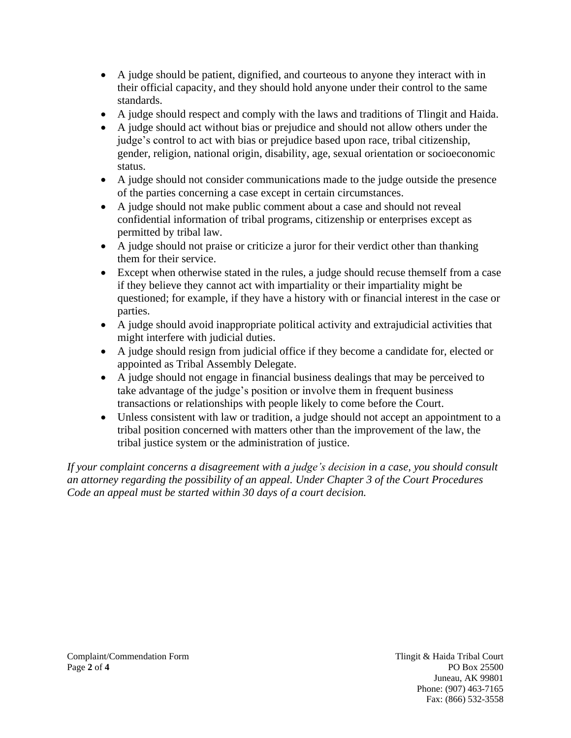- A judge should be patient, dignified, and courteous to anyone they interact with in their official capacity, and they should hold anyone under their control to the same standards.
- A judge should respect and comply with the laws and traditions of Tlingit and Haida.
- A judge should act without bias or prejudice and should not allow others under the judge's control to act with bias or prejudice based upon race, tribal citizenship, gender, religion, national origin, disability, age, sexual orientation or socioeconomic status.
- A judge should not consider communications made to the judge outside the presence of the parties concerning a case except in certain circumstances.
- A judge should not make public comment about a case and should not reveal confidential information of tribal programs, citizenship or enterprises except as permitted by tribal law.
- A judge should not praise or criticize a juror for their verdict other than thanking them for their service.
- Except when otherwise stated in the rules, a judge should recuse themself from a case if they believe they cannot act with impartiality or their impartiality might be questioned; for example, if they have a history with or financial interest in the case or parties.
- A judge should avoid inappropriate political activity and extrajudicial activities that might interfere with judicial duties.
- A judge should resign from judicial office if they become a candidate for, elected or appointed as Tribal Assembly Delegate.
- A judge should not engage in financial business dealings that may be perceived to take advantage of the judge's position or involve them in frequent business transactions or relationships with people likely to come before the Court.
- Unless consistent with law or tradition, a judge should not accept an appointment to a tribal position concerned with matters other than the improvement of the law, the tribal justice system or the administration of justice.

*If your complaint concerns a disagreement with a judge's decision in a case, you should consult an attorney regarding the possibility of an appeal. Under Chapter 3 of the Court Procedures Code an appeal must be started within 30 days of a court decision.*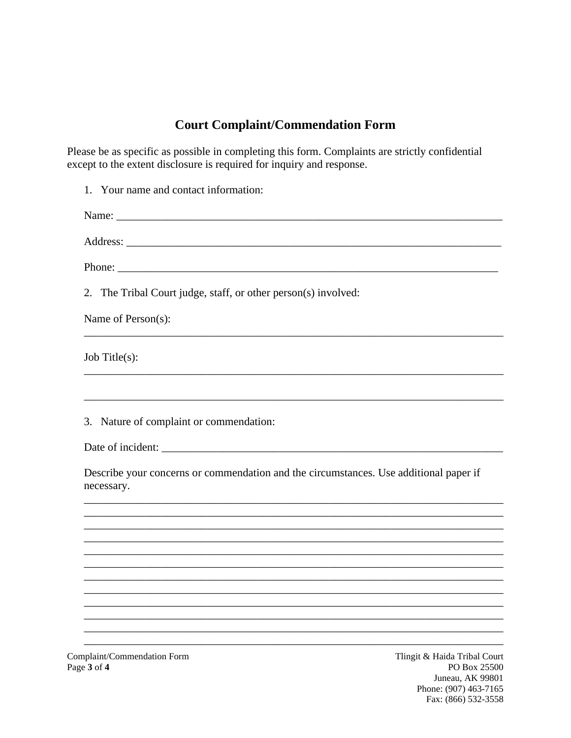## **Court Complaint/Commendation Form**

Please be as specific as possible in completing this form. Complaints are strictly confidential except to the extent disclosure is required for inquiry and response.

ıg PO Box 25500 Juneau, AK 99801 Phone: (907) 463-7165 Fax: (866) 532-3558